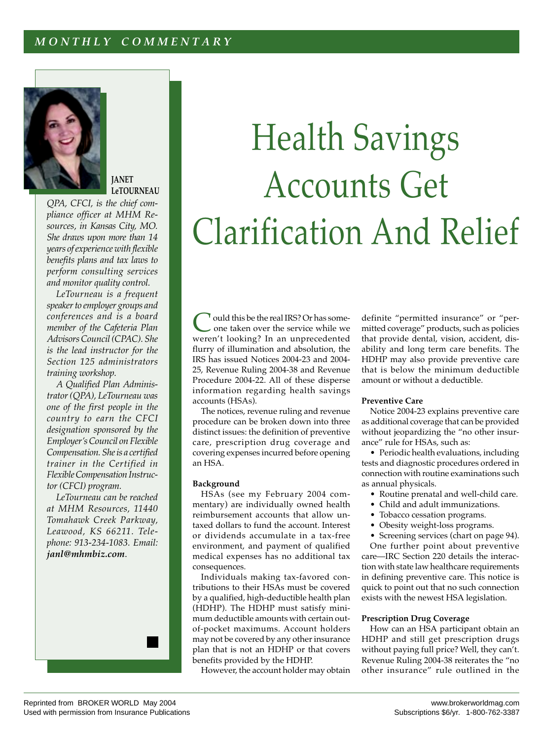# *M O N T H L Y C O M M E N T A R Y*



## **JANET LeTOURNEAU**

*QPA, CFCI, is the chief compliance officer at MHM Resources, in Kansas City, MO. She draws upon more than 14 years of experience with flexible benefits plans and tax laws to perform consulting services and monitor quality control.*

*LeTourneau is a frequent speaker to employer groups and conferences and is a board member of the Cafeteria Plan Advisors Council (CPAC). She is the lead instructor for the Section 125 administrators training workshop.*

*A Qualified Plan Administrator (QPA), LeTourneau was one of the first people in the country to earn the CFCI designation sponsored by the Employer's Council on Flexible Compensation. She is a certified trainer in the Certified in Flexible Compensation Instructor (CFCI) program.*

*LeTourneau can be reached at MHM Resources, 11440 Tomahawk Creek Parkway, Leawood, KS 66211. Telephone: 913-234-1083. Email: janl@mhmbiz.com*.



Could this be the real IRS? Or has some-one taken over the service while we weren't looking? In an unprecedented flurry of illumination and absolution, the IRS has issued Notices 2004-23 and 2004- 25, Revenue Ruling 2004-38 and Revenue Procedure 2004-22. All of these disperse information regarding health savings accounts (HSAs).

The notices, revenue ruling and revenue procedure can be broken down into three distinct issues: the definition of preventive care, prescription drug coverage and covering expenses incurred before opening an HSA.

## **Background**

HSAs (see my February 2004 commentary) are individually owned health reimbursement accounts that allow untaxed dollars to fund the account. Interest or dividends accumulate in a tax-free environment, and payment of qualified medical expenses has no additional tax consequences.

Individuals making tax-favored contributions to their HSAs must be covered by a qualified, high-deductible health plan (HDHP). The HDHP must satisfy minimum deductible amounts with certain outof-pocket maximums. Account holders may not be covered by any other insurance plan that is not an HDHP or that covers benefits provided by the HDHP.

However, the account holder may obtain

definite "permitted insurance" or "permitted coverage" products, such as policies that provide dental, vision, accident, disability and long term care benefits. The HDHP may also provide preventive care that is below the minimum deductible amount or without a deductible.

### **Preventive Care**

Notice 2004-23 explains preventive care as additional coverage that can be provided without jeopardizing the "no other insurance" rule for HSAs, such as:

• Periodic health evaluations, including tests and diagnostic procedures ordered in connection with routine examinations such as annual physicals.

- Routine prenatal and well-child care.
- Child and adult immunizations.
- Tobacco cessation programs.
- Obesity weight-loss programs.

• Screening services (chart on page 94).

One further point about preventive care—IRC Section 220 details the interaction with state law healthcare requirements in defining preventive care. This notice is quick to point out that no such connection exists with the newest HSA legislation.

#### **Prescription Drug Coverage**

How can an HSA participant obtain an HDHP and still get prescription drugs without paying full price? Well, they can't. Revenue Ruling 2004-38 reiterates the "no other insurance" rule outlined in the